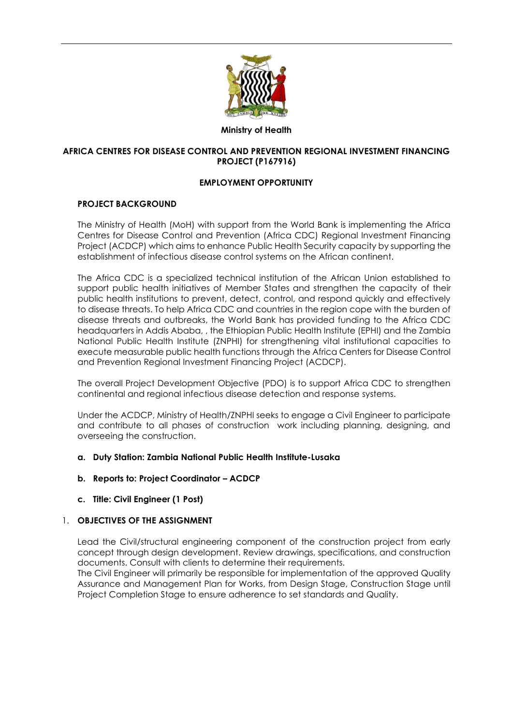

#### **Ministry of Health**

#### **AFRICA CENTRES FOR DISEASE CONTROL AND PREVENTION REGIONAL INVESTMENT FINANCING PROJECT (P167916)**

#### **EMPLOYMENT OPPORTUNITY**

### **PROJECT BACKGROUND**

The Ministry of Health (MoH) with support from the World Bank is implementing the Africa Centres for Disease Control and Prevention (Africa CDC) Regional Investment Financing Project (ACDCP) which aims to enhance Public Health Security capacity by supporting the establishment of infectious disease control systems on the African continent.

The Africa CDC is a specialized technical institution of the African Union established to support public health initiatives of Member States and strengthen the capacity of their public health institutions to prevent, detect, control, and respond quickly and effectively to disease threats. To help Africa CDC and countries in the region cope with the burden of disease threats and outbreaks, the World Bank has provided funding to the Africa CDC headquarters in Addis Ababa, , the Ethiopian Public Health Institute (EPHI) and the Zambia National Public Health Institute (ZNPHI) for strengthening vital institutional capacities to execute measurable public health functions through the Africa Centers for Disease Control and Prevention Regional Investment Financing Project (ACDCP).

The overall Project Development Objective (PDO) is to support Africa CDC to strengthen continental and regional infectious disease detection and response systems.

Under the ACDCP, Ministry of Health/ZNPHI seeks to engage a Civil Engineer to participate and contribute to all phases of construction work including planning, designing, and overseeing the construction.

#### **a. Duty Station: Zambia National Public Health Institute-Lusaka**

#### **b. Reports to: Project Coordinator – ACDCP**

#### **c. Title: Civil Engineer (1 Post)**

#### 1. **OBJECTIVES OF THE ASSIGNMENT**

Lead the Civil/structural engineering component of the construction project from early concept through design development. Review drawings, specifications, and construction documents. Consult with clients to determine their requirements.

The Civil Engineer will primarily be responsible for implementation of the approved Quality Assurance and Management Plan for Works, from Design Stage, Construction Stage until Project Completion Stage to ensure adherence to set standards and Quality.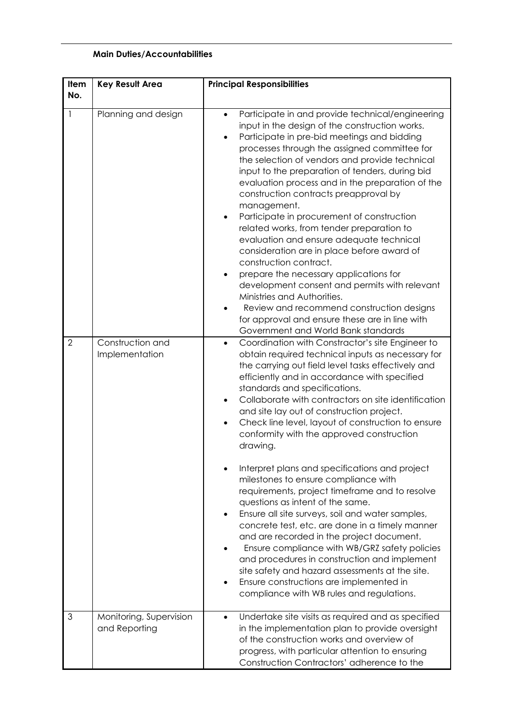## **Main Duties/Accountabilities**

| Item<br>No.    | <b>Key Result Area</b>                   | <b>Principal Responsibilities</b>                                                                                                                                                                                                                                                                                                                                                                                                                                                                                                                                                                                                                                                                                                                                                                                                                                                                                           |
|----------------|------------------------------------------|-----------------------------------------------------------------------------------------------------------------------------------------------------------------------------------------------------------------------------------------------------------------------------------------------------------------------------------------------------------------------------------------------------------------------------------------------------------------------------------------------------------------------------------------------------------------------------------------------------------------------------------------------------------------------------------------------------------------------------------------------------------------------------------------------------------------------------------------------------------------------------------------------------------------------------|
| $\mathbf{1}$   | Planning and design                      | Participate in and provide technical/engineering<br>$\bullet$<br>input in the design of the construction works.<br>Participate in pre-bid meetings and bidding<br>processes through the assigned committee for<br>the selection of vendors and provide technical<br>input to the preparation of tenders, during bid<br>evaluation process and in the preparation of the<br>construction contracts preapproval by<br>management.<br>Participate in procurement of construction<br>$\bullet$<br>related works, from tender preparation to<br>evaluation and ensure adequate technical<br>consideration are in place before award of<br>construction contract.<br>prepare the necessary applications for<br>development consent and permits with relevant<br>Ministries and Authorities.<br>Review and recommend construction designs<br>for approval and ensure these are in line with<br>Government and World Bank standards |
| $\overline{2}$ | Construction and<br>Implementation       | Coordination with Constractor's site Engineer to<br>$\bullet$<br>obtain required technical inputs as necessary for<br>the carrying out field level tasks effectively and<br>efficiently and in accordance with specified<br>standards and specifications.<br>Collaborate with contractors on site identification<br>$\bullet$<br>and site lay out of construction project.<br>Check line level, layout of construction to ensure<br>$\bullet$<br>conformity with the approved construction<br>drawing.                                                                                                                                                                                                                                                                                                                                                                                                                      |
|                |                                          | Interpret plans and specifications and project<br>milestones to ensure compliance with<br>requirements, project timeframe and to resolve<br>questions as intent of the same.<br>Ensure all site surveys, soil and water samples,<br>concrete test, etc. are done in a timely manner<br>and are recorded in the project document.<br>Ensure compliance with WB/GRZ safety policies<br>and procedures in construction and implement<br>site safety and hazard assessments at the site.<br>Ensure constructions are implemented in<br>compliance with WB rules and regulations.                                                                                                                                                                                                                                                                                                                                                |
| 3              | Monitoring, Supervision<br>and Reporting | Undertake site visits as required and as specified<br>$\bullet$<br>in the implementation plan to provide oversight<br>of the construction works and overview of<br>progress, with particular attention to ensuring<br>Construction Contractors' adherence to the                                                                                                                                                                                                                                                                                                                                                                                                                                                                                                                                                                                                                                                            |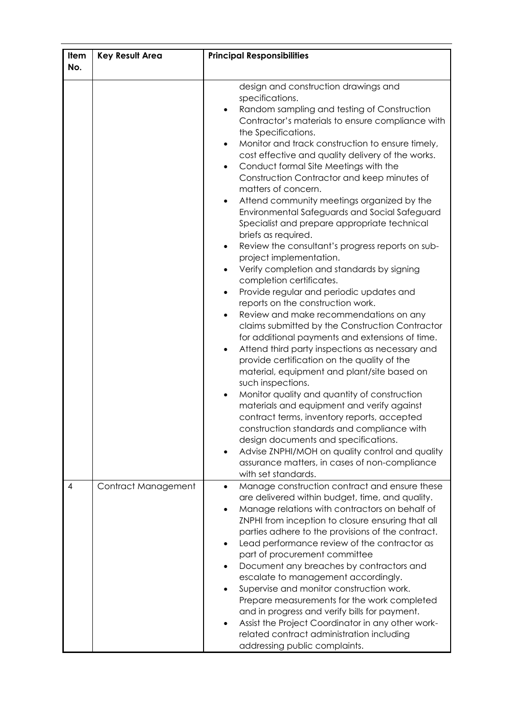| Item<br>No.    | <b>Key Result Area</b> | <b>Principal Responsibilities</b>                                                                                                                                                                                                                                                                                                                                                                                                                                                                                                                                                                                                                                                                                                                                                                                                                                                                                                                                                                                                                                                                                                                                                                                                                                                                                                                                                                                                                                                                                                                            |
|----------------|------------------------|--------------------------------------------------------------------------------------------------------------------------------------------------------------------------------------------------------------------------------------------------------------------------------------------------------------------------------------------------------------------------------------------------------------------------------------------------------------------------------------------------------------------------------------------------------------------------------------------------------------------------------------------------------------------------------------------------------------------------------------------------------------------------------------------------------------------------------------------------------------------------------------------------------------------------------------------------------------------------------------------------------------------------------------------------------------------------------------------------------------------------------------------------------------------------------------------------------------------------------------------------------------------------------------------------------------------------------------------------------------------------------------------------------------------------------------------------------------------------------------------------------------------------------------------------------------|
|                |                        | design and construction drawings and<br>specifications.<br>Random sampling and testing of Construction<br>$\bullet$<br>Contractor's materials to ensure compliance with<br>the Specifications.<br>Monitor and track construction to ensure timely,<br>$\bullet$<br>cost effective and quality delivery of the works.<br>Conduct formal Site Meetings with the<br>$\bullet$<br>Construction Contractor and keep minutes of<br>matters of concern.<br>Attend community meetings organized by the<br>Environmental Safeguards and Social Safeguard<br>Specialist and prepare appropriate technical<br>briefs as required.<br>Review the consultant's progress reports on sub-<br>٠<br>project implementation.<br>Verify completion and standards by signing<br>$\bullet$<br>completion certificates.<br>Provide regular and periodic updates and<br>reports on the construction work.<br>Review and make recommendations on any<br>claims submitted by the Construction Contractor<br>for additional payments and extensions of time.<br>Attend third party inspections as necessary and<br>provide certification on the quality of the<br>material, equipment and plant/site based on<br>such inspections.<br>Monitor quality and quantity of construction<br>$\bullet$<br>materials and equipment and verify against<br>contract terms, inventory reports, accepted<br>construction standards and compliance with<br>design documents and specifications.<br>Advise ZNPHI/MOH on quality control and quality<br>assurance matters, in cases of non-compliance |
| $\overline{4}$ | Contract Management    | with set standards.<br>Manage construction contract and ensure these<br>$\bullet$<br>are delivered within budget, time, and quality.<br>Manage relations with contractors on behalf of<br>ZNPHI from inception to closure ensuring that all<br>parties adhere to the provisions of the contract.<br>Lead performance review of the contractor as<br>$\bullet$<br>part of procurement committee                                                                                                                                                                                                                                                                                                                                                                                                                                                                                                                                                                                                                                                                                                                                                                                                                                                                                                                                                                                                                                                                                                                                                               |
|                |                        | Document any breaches by contractors and<br>escalate to management accordingly.<br>Supervise and monitor construction work.<br>Prepare measurements for the work completed<br>and in progress and verify bills for payment.<br>Assist the Project Coordinator in any other work-<br>related contract administration including<br>addressing public complaints.                                                                                                                                                                                                                                                                                                                                                                                                                                                                                                                                                                                                                                                                                                                                                                                                                                                                                                                                                                                                                                                                                                                                                                                               |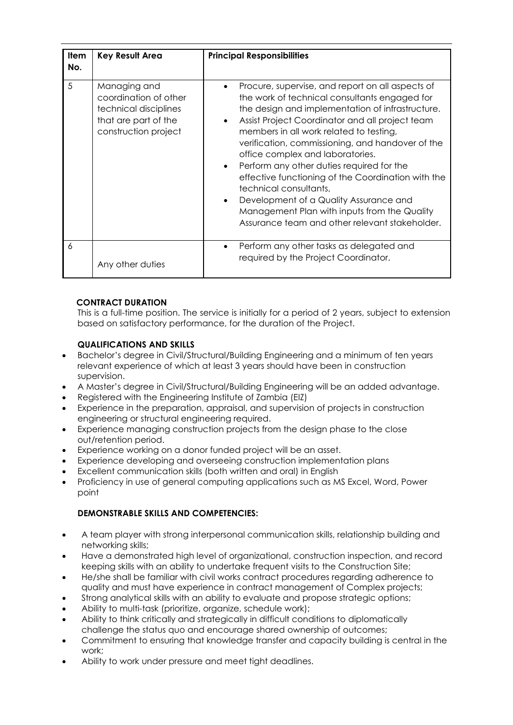| <b>Item</b><br>No. | <b>Key Result Area</b>                                                                                         | <b>Principal Responsibilities</b>                                                                                                                                                                                                                                                                                                                                                                                                                                                                                                                                                                                                                   |
|--------------------|----------------------------------------------------------------------------------------------------------------|-----------------------------------------------------------------------------------------------------------------------------------------------------------------------------------------------------------------------------------------------------------------------------------------------------------------------------------------------------------------------------------------------------------------------------------------------------------------------------------------------------------------------------------------------------------------------------------------------------------------------------------------------------|
| 5                  | Managing and<br>coordination of other<br>technical disciplines<br>that are part of the<br>construction project | Procure, supervise, and report on all aspects of<br>٠<br>the work of technical consultants engaged for<br>the design and implementation of infrastructure.<br>Assist Project Coordinator and all project team<br>$\bullet$<br>members in all work related to testing,<br>verification, commissioning, and handover of the<br>office complex and laboratories.<br>Perform any other duties required for the<br>effective functioning of the Coordination with the<br>technical consultants,<br>Development of a Quality Assurance and<br>$\bullet$<br>Management Plan with inputs from the Quality<br>Assurance team and other relevant stakeholder. |
| 6                  | Any other duties                                                                                               | Perform any other tasks as delegated and<br>$\bullet$<br>required by the Project Coordinator.                                                                                                                                                                                                                                                                                                                                                                                                                                                                                                                                                       |

# **CONTRACT DURATION**

This is a full-time position. The service is initially for a period of 2 years, subject to extension based on satisfactory performance, for the duration of the Project.

## **QUALIFICATIONS AND SKILLS**

- Bachelor's degree in Civil/Structural/Building Engineering and a minimum of ten years relevant experience of which at least 3 years should have been in construction supervision.
- A Master's degree in Civil/Structural/Building Engineering will be an added advantage.
- Registered with the Engineering Institute of Zambia (EIZ)
- Experience in the preparation, appraisal, and supervision of projects in construction engineering or structural engineering required.
- Experience managing construction projects from the design phase to the close out/retention period.
- Experience working on a donor funded project will be an asset.
- Experience developing and overseeing construction implementation plans
- Excellent communication skills (both written and oral) in English
- Proficiency in use of general computing applications such as MS Excel, Word, Power point

## **DEMONSTRABLE SKILLS AND COMPETENCIES:**

- A team player with strong interpersonal communication skills, relationship building and networking skills;
- Have a demonstrated high level of organizational, construction inspection, and record keeping skills with an ability to undertake frequent visits to the Construction Site;
- He/she shall be familiar with civil works contract procedures regarding adherence to quality and must have experience in contract management of Complex projects;
- Strong analytical skills with an ability to evaluate and propose strategic options;
- Ability to multi-task (prioritize, organize, schedule work);
- Ability to think critically and strategically in difficult conditions to diplomatically challenge the status quo and encourage shared ownership of outcomes;
- Commitment to ensuring that knowledge transfer and capacity building is central in the work;
- Ability to work under pressure and meet tight deadlines.